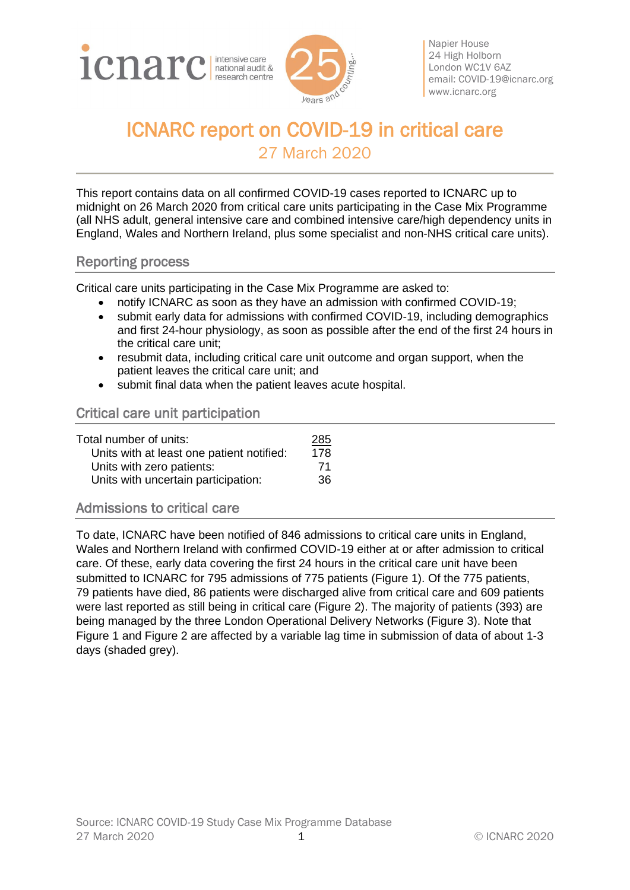



Napier House 24 High Holborn London WC1V 6AZ email: [COVID-19@icnarc.org](mailto:COVID-19@icnarc.org) [www.icnarc.org](http://www.icnarc.org/)

# ICNARC report on COVID-19 in critical care 27 March 2020

This report contains data on all confirmed COVID-19 cases reported to ICNARC up to midnight on 26 March 2020 from critical care units participating in the Case Mix Programme (all NHS adult, general intensive care and combined intensive care/high dependency units in England, Wales and Northern Ireland, plus some specialist and non-NHS critical care units).

### Reporting process

Critical care units participating in the Case Mix Programme are asked to:

- notify ICNARC as soon as they have an admission with confirmed COVID-19;
- submit early data for admissions with confirmed COVID-19, including demographics and first 24-hour physiology, as soon as possible after the end of the first 24 hours in the critical care unit;
- resubmit data, including critical care unit outcome and organ support, when the patient leaves the critical care unit; and
- submit final data when the patient leaves acute hospital.

# Critical care unit participation

| Total number of units:                    | <u> 285</u> |
|-------------------------------------------|-------------|
| Units with at least one patient notified: | 178         |
| Units with zero patients:                 | 71          |
| Units with uncertain participation:       | 36          |

#### Admissions to critical care

To date, ICNARC have been notified of 846 admissions to critical care units in England, Wales and Northern Ireland with confirmed COVID-19 either at or after admission to critical care. Of these, early data covering the first 24 hours in the critical care unit have been submitted to ICNARC for 795 admissions of 775 patients [\(Figure 1\)](#page-1-0). Of the 775 patients, 79 patients have died, 86 patients were discharged alive from critical care and 609 patients were last reported as still being in critical care [\(Figure 2\)](#page-1-1). The majority of patients (393) are being managed by the three London Operational Delivery Networks [\(Figure 3\)](#page-2-0). Note that [Figure 1](#page-1-0) and [Figure 2](#page-1-1) are affected by a variable lag time in submission of data of about 1-3 days (shaded grey).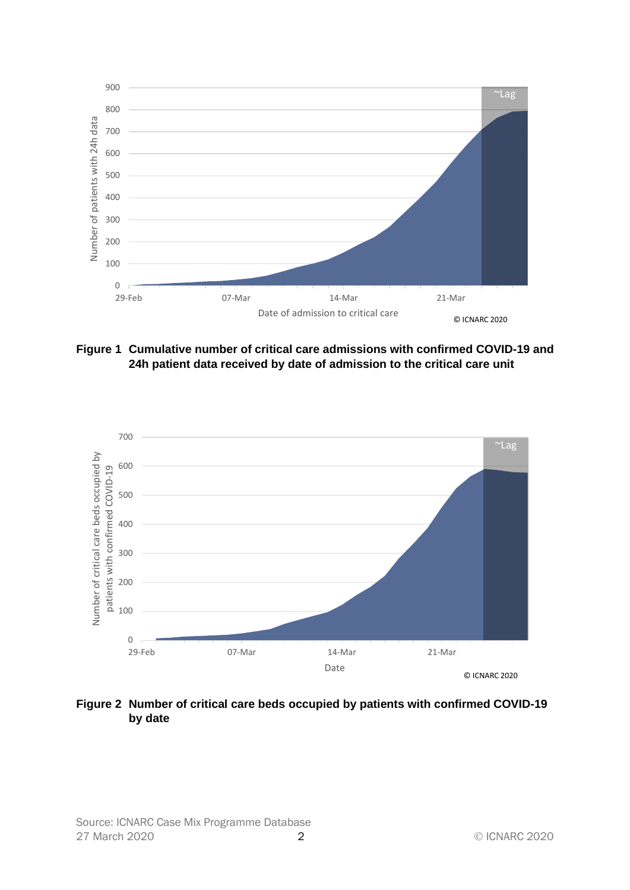

<span id="page-1-0"></span>**Figure 1 Cumulative number of critical care admissions with confirmed COVID-19 and 24h patient data received by date of admission to the critical care unit**



<span id="page-1-1"></span>**Figure 2 Number of critical care beds occupied by patients with confirmed COVID-19 by date**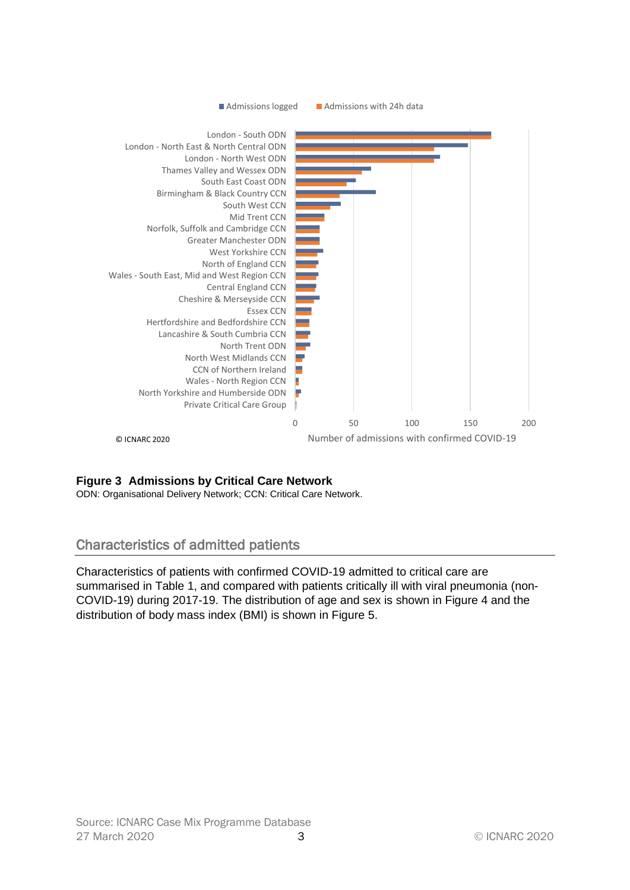

# <span id="page-2-0"></span>**Figure 3 Admissions by Critical Care Network**

ODN: Organisational Delivery Network; CCN: Critical Care Network.

# Characteristics of admitted patients

Characteristics of patients with confirmed COVID-19 admitted to critical care are summarised in [Table 1,](#page-3-0) and compared with patients critically ill with viral pneumonia (non-COVID-19) during 2017-19. The distribution of age and sex is shown in [Figure 4](#page-4-0) and the distribution of body mass index (BMI) is shown in [Figure 5.](#page-4-1)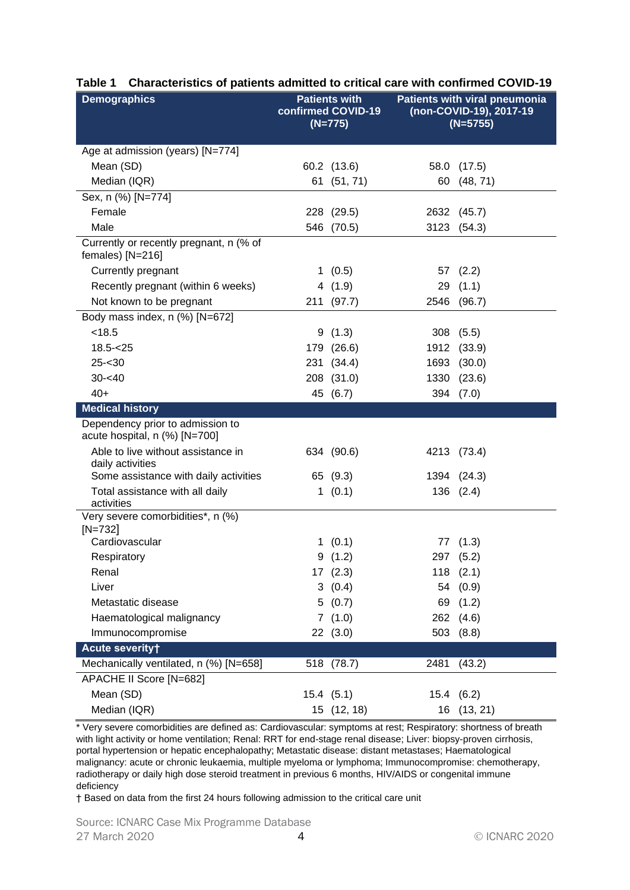| <b>Demographics</b>                                               | <b>Patients with</b><br>confirmed COVID-19<br>$(N=775)$ |                | <b>Patients with viral pneumonia</b><br>(non-COVID-19), 2017-19<br>$(N=5755)$ |                |
|-------------------------------------------------------------------|---------------------------------------------------------|----------------|-------------------------------------------------------------------------------|----------------|
| Age at admission (years) [N=774]                                  |                                                         |                |                                                                               |                |
| Mean (SD)                                                         |                                                         | 60.2 (13.6)    |                                                                               | 58.0 (17.5)    |
| Median (IQR)                                                      |                                                         | 61 (51, 71)    | 60                                                                            | (48, 71)       |
| Sex, n (%) [N=774]                                                |                                                         |                |                                                                               |                |
| Female                                                            |                                                         | 228 (29.5)     | 2632                                                                          | (45.7)         |
| Male                                                              | 546                                                     | (70.5)         | 3123                                                                          | (54.3)         |
| Currently or recently pregnant, n (% of<br>females) [N=216]       |                                                         |                |                                                                               |                |
| Currently pregnant                                                |                                                         | 1(0.5)         |                                                                               | 57 (2.2)       |
| Recently pregnant (within 6 weeks)                                |                                                         | 4(1.9)         | 29                                                                            | (1.1)          |
| Not known to be pregnant                                          |                                                         | 211 (97.7)     |                                                                               | 2546 (96.7)    |
| Body mass index, n (%) [N=672]                                    |                                                         |                |                                                                               |                |
| < 18.5                                                            |                                                         | 9(1.3)         |                                                                               | 308(5.5)       |
| $18.5 - < 25$                                                     |                                                         | 179 (26.6)     | 1912                                                                          | (33.9)         |
| $25 - 30$                                                         |                                                         | 231 (34.4)     | 1693                                                                          | (30.0)         |
| $30 - 40$                                                         |                                                         | 208 (31.0)     | 1330                                                                          | (23.6)         |
| $40+$                                                             |                                                         | 45 (6.7)       |                                                                               | 394 (7.0)      |
| <b>Medical history</b>                                            |                                                         |                |                                                                               |                |
| Dependency prior to admission to<br>acute hospital, n (%) [N=700] |                                                         |                |                                                                               |                |
| Able to live without assistance in<br>daily activities            |                                                         | 634 (90.6)     |                                                                               | 4213 (73.4)    |
| Some assistance with daily activities                             |                                                         | 65 (9.3)       |                                                                               | 1394 (24.3)    |
| Total assistance with all daily<br>activities                     |                                                         | 1(0.1)         |                                                                               | 136 (2.4)      |
| Very severe comorbidities*, n (%)<br>$[N=732]$                    |                                                         |                |                                                                               |                |
| Cardiovascular                                                    |                                                         | 1(0.1)         | 77                                                                            | (1.3)          |
| Respiratory                                                       |                                                         | 9(1.2)         | 297                                                                           | (5.2)          |
| Renal                                                             |                                                         | 17(2.3)        |                                                                               | $118$ $(2.1)$  |
| Liver                                                             |                                                         | 3(0.4)         | 54                                                                            | (0.9)          |
| Metastatic disease                                                |                                                         | 5(0.7)         |                                                                               | 69 (1.2)       |
| Haematological malignancy                                         |                                                         | 7(1.0)         | 262                                                                           | (4.6)          |
| Immunocompromise                                                  |                                                         | 22(3.0)        | 503                                                                           | (8.8)          |
| Acute severity+                                                   |                                                         |                |                                                                               |                |
| Mechanically ventilated, n (%) [N=658]                            |                                                         | 518 (78.7)     | 2481                                                                          | (43.2)         |
| APACHE II Score [N=682]                                           |                                                         |                |                                                                               |                |
| Mean (SD)                                                         |                                                         | $15.4$ $(5.1)$ |                                                                               | $15.4$ $(6.2)$ |
| Median (IQR)                                                      |                                                         | 15 (12, 18)    |                                                                               | 16 (13, 21)    |

#### <span id="page-3-0"></span>**Table 1 Characteristics of patients admitted to critical care with confirmed COVID-19**

\* Very severe comorbidities are defined as: Cardiovascular: symptoms at rest; Respiratory: shortness of breath with light activity or home ventilation; Renal: RRT for end-stage renal disease; Liver: biopsy-proven cirrhosis, portal hypertension or hepatic encephalopathy; Metastatic disease: distant metastases; Haematological malignancy: acute or chronic leukaemia, multiple myeloma or lymphoma; Immunocompromise: chemotherapy, radiotherapy or daily high dose steroid treatment in previous 6 months, HIV/AIDS or congenital immune deficiency

† Based on data from the first 24 hours following admission to the critical care unit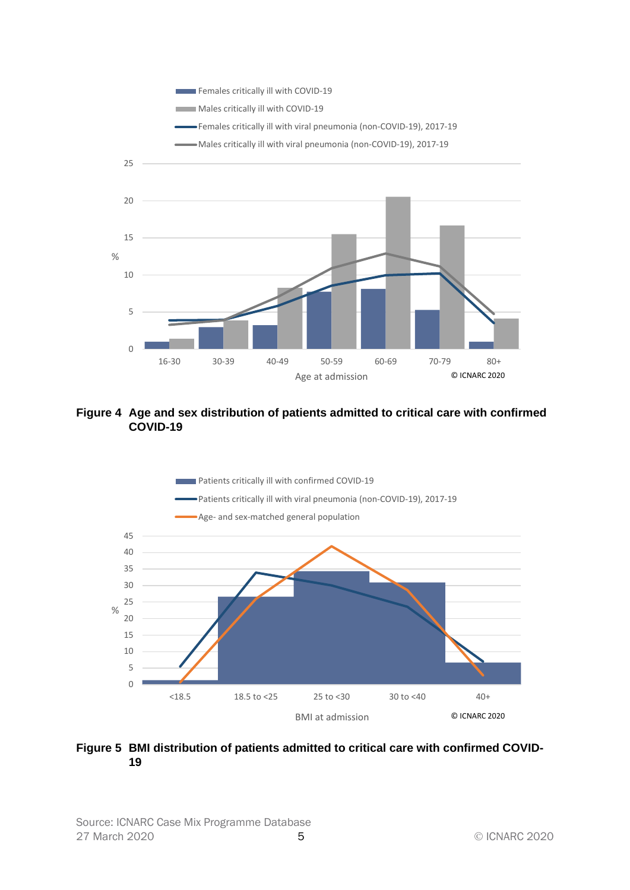

<span id="page-4-0"></span>**Figure 4 Age and sex distribution of patients admitted to critical care with confirmed COVID-19**



#### <span id="page-4-1"></span>**Figure 5 BMI distribution of patients admitted to critical care with confirmed COVID-19**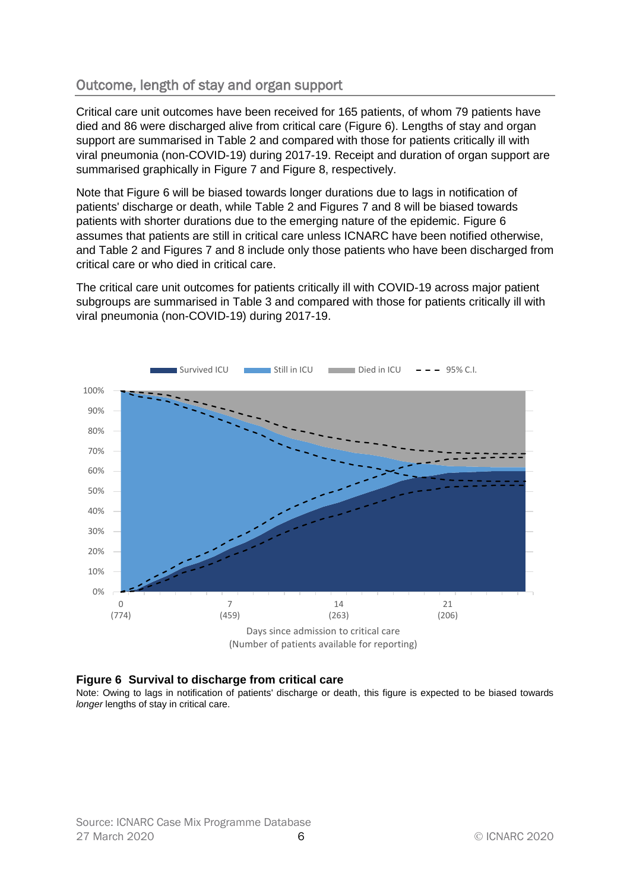# Outcome, length of stay and organ support

Critical care unit outcomes have been received for 165 patients, of whom 79 patients have died and 86 were discharged alive from critical care [\(Figure 6\)](#page-5-0). Lengths of stay and organ support are summarised in [Table 2](#page-6-0) and compared with those for patients critically ill with viral pneumonia (non-COVID-19) during 2017-19. Receipt and duration of organ support are summarised graphically in [Figure 7](#page-7-0) and [Figure 8,](#page-7-1) respectively.

Note that [Figure 6](#page-5-0) will be biased towards longer durations due to lags in notification of patients' discharge or death, while [Table 2](#page-6-0) and Figures 7 and 8 will be biased towards patients with shorter durations due to the emerging nature of the epidemic. [Figure 6](#page-5-0) assumes that patients are still in critical care unless ICNARC have been notified otherwise, and [Table 2](#page-6-0) and Figures 7 and 8 include only those patients who have been discharged from critical care or who died in critical care.

The critical care unit outcomes for patients critically ill with COVID-19 across major patient subgroups are summarised in [Table 3](#page-8-0) and compared with those for patients critically ill with viral pneumonia (non-COVID-19) during 2017-19.



<span id="page-5-0"></span>

Note: Owing to lags in notification of patients' discharge or death, this figure is expected to be biased towards *longer* lengths of stay in critical care.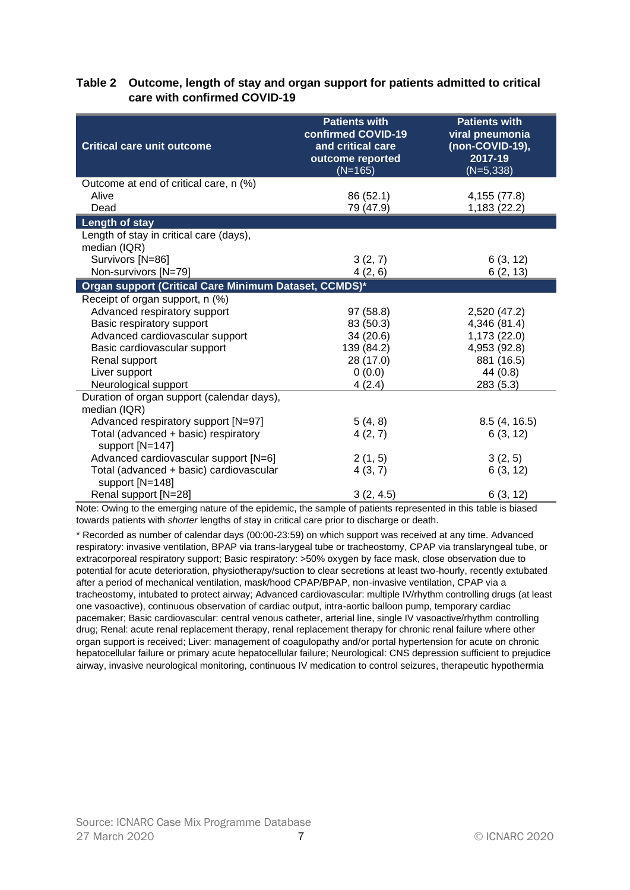#### <span id="page-6-0"></span>**Table 2 Outcome, length of stay and organ support for patients admitted to critical care with confirmed COVID-19**

| <b>Critical care unit outcome</b>                          | <b>Patients with</b><br>confirmed COVID-19<br>and critical care<br>outcome reported<br>$(N=165)$ | <b>Patients with</b><br>viral pneumonia<br>(non-COVID-19),<br>2017-19<br>$(N=5,338)$ |
|------------------------------------------------------------|--------------------------------------------------------------------------------------------------|--------------------------------------------------------------------------------------|
| Outcome at end of critical care, n (%)                     |                                                                                                  |                                                                                      |
| Alive                                                      | 86 (52.1)                                                                                        | 4,155 (77.8)                                                                         |
| Dead                                                       | 79 (47.9)                                                                                        | 1,183 (22.2)                                                                         |
| Length of stay                                             |                                                                                                  |                                                                                      |
| Length of stay in critical care (days),                    |                                                                                                  |                                                                                      |
| median (IQR)                                               |                                                                                                  |                                                                                      |
| Survivors [N=86]                                           | 3(2, 7)                                                                                          | 6(3, 12)                                                                             |
| Non-survivors [N=79]                                       | 4(2, 6)                                                                                          | 6(2, 13)                                                                             |
| Organ support (Critical Care Minimum Dataset, CCMDS)*      |                                                                                                  |                                                                                      |
| Receipt of organ support, n (%)                            |                                                                                                  |                                                                                      |
| Advanced respiratory support                               | 97 (58.8)                                                                                        | 2,520 (47.2)                                                                         |
| Basic respiratory support                                  | 83 (50.3)                                                                                        | 4,346 (81.4)                                                                         |
| Advanced cardiovascular support                            | 34 (20.6)                                                                                        | 1,173 (22.0)                                                                         |
| Basic cardiovascular support                               | 139 (84.2)                                                                                       | 4,953 (92.8)                                                                         |
| Renal support                                              | 28 (17.0)                                                                                        | 881 (16.5)                                                                           |
| Liver support                                              | 0(0.0)                                                                                           | 44 (0.8)                                                                             |
| Neurological support                                       | 4(2.4)                                                                                           | 283 (5.3)                                                                            |
| Duration of organ support (calendar days),                 |                                                                                                  |                                                                                      |
| median (IQR)                                               |                                                                                                  |                                                                                      |
| Advanced respiratory support [N=97]                        | 5(4, 8)                                                                                          | 8.5(4, 16.5)                                                                         |
| Total (advanced + basic) respiratory                       | 4(2, 7)                                                                                          | 6(3, 12)                                                                             |
| support [N=147]                                            |                                                                                                  |                                                                                      |
| Advanced cardiovascular support [N=6]                      | 2(1, 5)                                                                                          | 3(2, 5)                                                                              |
| Total (advanced + basic) cardiovascular<br>support [N=148] | 4(3, 7)                                                                                          | 6(3, 12)                                                                             |
| Renal support [N=28]                                       | 3(2, 4.5)                                                                                        | 6(3, 12)                                                                             |

Note: Owing to the emerging nature of the epidemic, the sample of patients represented in this table is biased towards patients with *shorter* lengths of stay in critical care prior to discharge or death.

\* Recorded as number of calendar days (00:00-23:59) on which support was received at any time. Advanced respiratory: invasive ventilation, BPAP via trans-larygeal tube or tracheostomy, CPAP via translaryngeal tube, or extracorporeal respiratory support; Basic respiratory: >50% oxygen by face mask, close observation due to potential for acute deterioration, physiotherapy/suction to clear secretions at least two-hourly, recently extubated after a period of mechanical ventilation, mask/hood CPAP/BPAP, non-invasive ventilation, CPAP via a tracheostomy, intubated to protect airway; Advanced cardiovascular: multiple IV/rhythm controlling drugs (at least one vasoactive), continuous observation of cardiac output, intra-aortic balloon pump, temporary cardiac pacemaker; Basic cardiovascular: central venous catheter, arterial line, single IV vasoactive/rhythm controlling drug; Renal: acute renal replacement therapy, renal replacement therapy for chronic renal failure where other organ support is received; Liver: management of coagulopathy and/or portal hypertension for acute on chronic hepatocellular failure or primary acute hepatocellular failure; Neurological: CNS depression sufficient to prejudice airway, invasive neurological monitoring, continuous IV medication to control seizures, therapeutic hypothermia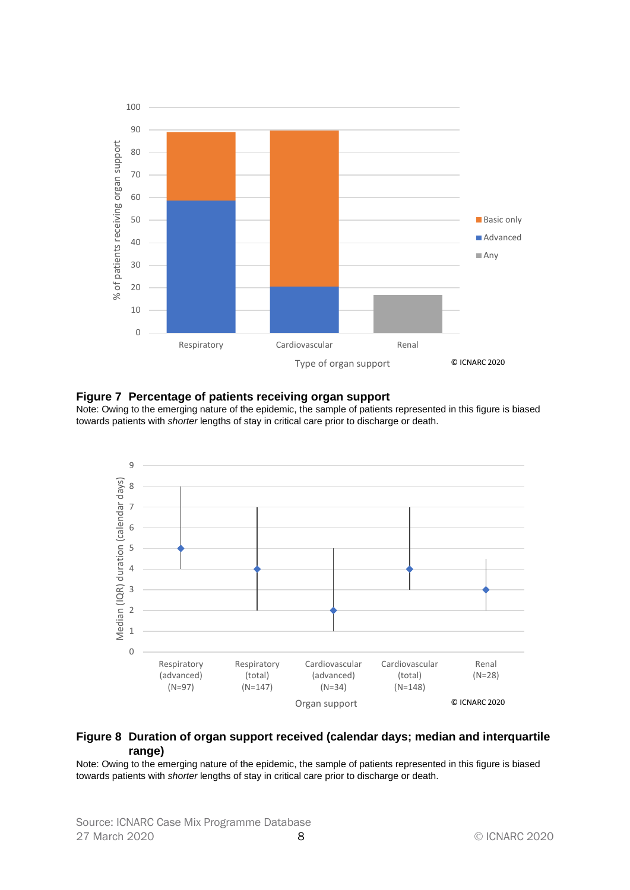

#### <span id="page-7-0"></span>**Figure 7 Percentage of patients receiving organ support**

Note: Owing to the emerging nature of the epidemic, the sample of patients represented in this figure is biased towards patients with *shorter* lengths of stay in critical care prior to discharge or death.



#### <span id="page-7-1"></span>**Figure 8 Duration of organ support received (calendar days; median and interquartile range)**

Note: Owing to the emerging nature of the epidemic, the sample of patients represented in this figure is biased towards patients with *shorter* lengths of stay in critical care prior to discharge or death.